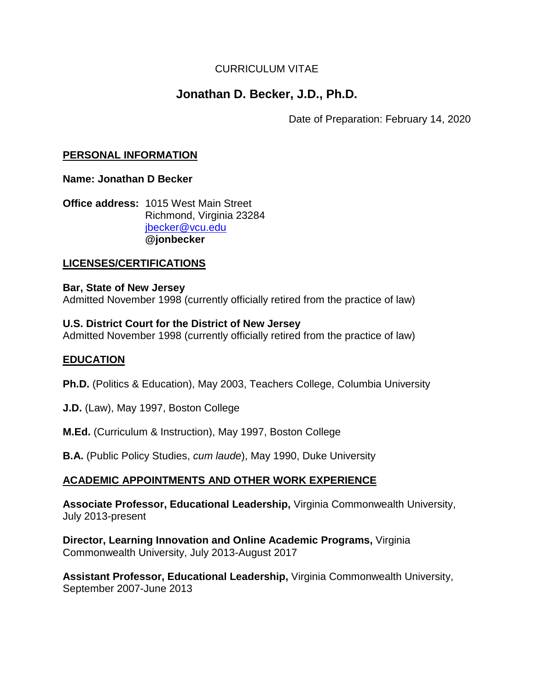# CURRICULUM VITAE

# **Jonathan D. Becker, J.D., Ph.D.**

Date of Preparation: February 14, 2020

### **PERSONAL INFORMATION**

**Name: Jonathan D Becker**

**Office address:** 1015 West Main Street Richmond, Virginia 23284 [jbecker@vcu.edu](mailto:jbecker@vcu.edu) **@jonbecker**

# **LICENSES/CERTIFICATIONS**

**Bar, State of New Jersey** Admitted November 1998 (currently officially retired from the practice of law)

### **U.S. District Court for the District of New Jersey**

Admitted November 1998 (currently officially retired from the practice of law)

# **EDUCATION**

**Ph.D.** (Politics & Education), May 2003, Teachers College, Columbia University

**J.D.** (Law), May 1997, Boston College

**M.Ed.** (Curriculum & Instruction), May 1997, Boston College

**B.A.** (Public Policy Studies, *cum laude*), May 1990, Duke University

# **ACADEMIC APPOINTMENTS AND OTHER WORK EXPERIENCE**

**Associate Professor, Educational Leadership,** Virginia Commonwealth University, July 2013-present

**Director, Learning Innovation and Online Academic Programs,** Virginia Commonwealth University, July 2013-August 2017

**Assistant Professor, Educational Leadership,** Virginia Commonwealth University, September 2007-June 2013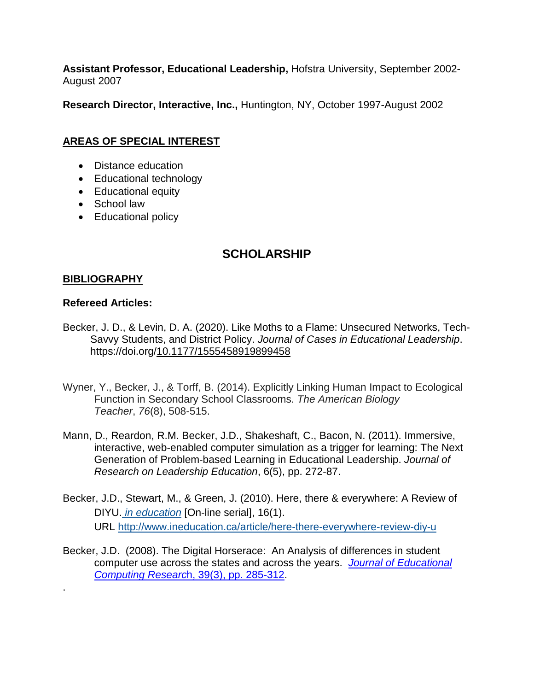**Assistant Professor, Educational Leadership,** Hofstra University, September 2002- August 2007

**Research Director, Interactive, Inc.,** Huntington, NY, October 1997-August 2002

# **AREAS OF SPECIAL INTEREST**

- Distance education
- Educational technology
- Educational equity
- School law
- Educational policy

# **SCHOLARSHIP**

### **BIBLIOGRAPHY**

#### **Refereed Articles:**

.

- Becker, J. D., & Levin, D. A. (2020). Like Moths to a Flame: Unsecured Networks, Tech-Savvy Students, and District Policy. *Journal of Cases in Educational Leadership*. https://doi.org[/10.1177/1555458919899458](https://doi-org.proxy.library.vcu.edu/10.1177/1555458919899458)
- Wyner, Y., Becker, J., & Torff, B. (2014). Explicitly Linking Human Impact to Ecological Function in Secondary School Classrooms. *The American Biology Teacher*, *76*(8), 508-515.
- Mann, D., Reardon, R.M. Becker, J.D., Shakeshaft, C., Bacon, N. (2011). Immersive, interactive, web-enabled computer simulation as a trigger for learning: The Next Generation of Problem-based Learning in Educational Leadership. *Journal of Research on Leadership Education*, 6(5), pp. 272-87.
- Becker, J.D., Stewart, M., & Green, J. (2010). Here, there & everywhere: A Review of DIYU. *in [education](http://www.ineducation.ca/)* [On-line serial], 16(1). URL <http://www.ineducation.ca/article/here-there-everywhere-review-diy-u>
- Becker, J.D. (2008). The Digital Horserace: An Analysis of differences in student computer use across the states and across the years. *Journal of [Educational](http://baywood.metapress.com/link.asp?id=4t73610t85057771) [Computing](http://baywood.metapress.com/link.asp?id=4t73610t85057771) Researc*h, 39(3), pp. 285-312.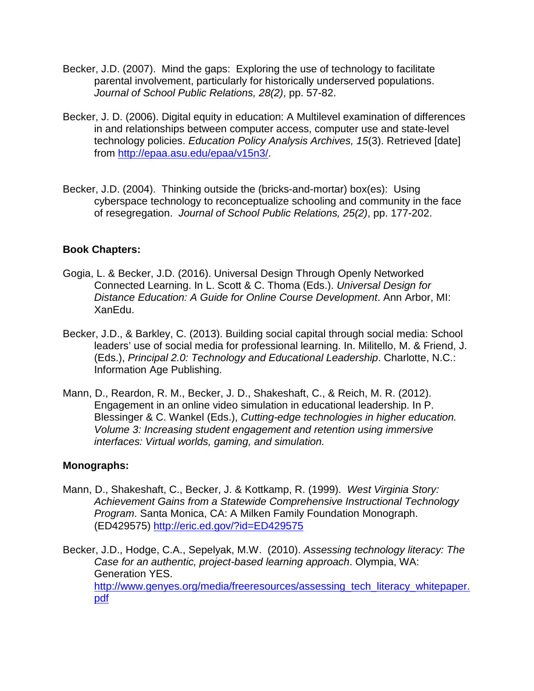- Becker, J.D. (2007). Mind the gaps: Exploring the use of technology to facilitate parental involvement, particularly for historically underserved populations. *Journal of School Public Relations, 28(2)*, pp. 57-82.
- Becker, J. D. (2006). Digital equity in education: A Multilevel examination of differences in and relationships between computer access, computer use and state-level technology policies. *Education Policy Analysis Archives, 15*(3). Retrieved [date] from [http://epaa.asu.edu/epaa/v15n3/.](http://epaa.asu.edu/epaa/v15n3/)
- Becker, J.D. (2004). Thinking outside the (bricks-and-mortar) box(es): Using cyberspace technology to reconceptualize schooling and community in the face of resegregation. *Journal of School Public Relations, 25(2)*, pp. 177-202.

#### **Book Chapters:**

- Gogia, L. & Becker, J.D. (2016). Universal Design Through Openly Networked Connected Learning. In L. Scott & C. Thoma (Eds.). *Universal Design for Distance Education: A Guide for Online Course Development*. Ann Arbor, MI: XanEdu.
- Becker, J.D., & Barkley, C. (2013). Building social capital through social media: School leaders' use of social media for professional learning. In. Militello, M. & Friend, J. (Eds.), *Principal 2.0: Technology and Educational Leadership*. Charlotte, N.C.: Information Age Publishing.
- Mann, D., Reardon, R. M., Becker, J. D., Shakeshaft, C., & Reich, M. R. (2012). Engagement in an online video simulation in educational leadership. In P. Blessinger & C. Wankel (Eds.), *Cutting-edge technologies in higher education. Volume 3: Increasing student engagement and retention using immersive interfaces: Virtual worlds, gaming, and simulation.*

#### **Monographs:**

Mann, D., Shakeshaft, C., Becker, J. & Kottkamp, R. (1999). *West Virginia Story: Achievement Gains from a Statewide Comprehensive Instructional Technology Program*. Santa Monica, CA: A Milken Family Foundation Monograph. (ED429575)<http://eric.ed.gov/?id=ED429575>

Becker, J.D., Hodge, C.A., Sepelyak, M.W. (2010). *Assessing technology literacy: The Case for an authentic, project-based learning approach*. Olympia, WA: Generation YES. [http://www.genyes.org/media/freeresources/assessing\\_tech\\_literacy\\_whitepaper.](http://www.genyes.org/media/freeresources/assessing_tech_literacy_whitepaper.pdf) [pdf](http://www.genyes.org/media/freeresources/assessing_tech_literacy_whitepaper.pdf)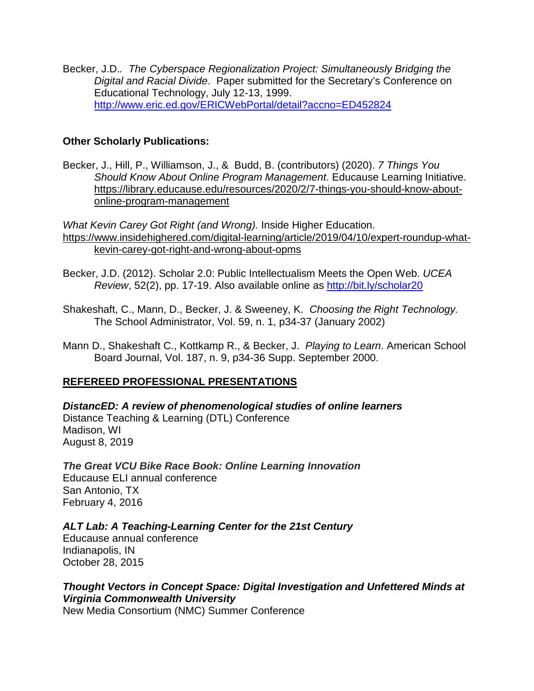Becker, J.D.*. The Cyberspace Regionalization Project: Simultaneously Bridging the Digital and Racial Divide*. Paper submitted for the Secretary's Conference on Educational Technology, July 12-13, 1999. <http://www.eric.ed.gov/ERICWebPortal/detail?accno=ED452824>

### **Other Scholarly Publications:**

Becker, J., Hill, P., Williamson, J., & Budd, B. (contributors) (2020). *7 Things You Should Know About Online Program Management*. Educause Learning Initiative. [https://library.educause.edu/resources/2020/2/7-things-you-should-know-about](https://library.educause.edu/resources/2020/2/7-things-you-should-know-about-online-program-management)[online-program-management](https://library.educause.edu/resources/2020/2/7-things-you-should-know-about-online-program-management)

*What Kevin Carey Got Right (and Wrong).* Inside Higher Education. [https://www.insidehighered.com/digital-learning/article/2019/04/10/expert-roundup-what](https://www.insidehighered.com/digital-learning/article/2019/04/10/expert-roundup-what-kevin-carey-got-right-and-wrong-about-opms)[kevin-carey-got-right-and-wrong-about-opms](https://www.insidehighered.com/digital-learning/article/2019/04/10/expert-roundup-what-kevin-carey-got-right-and-wrong-about-opms)

- Becker, J.D. (2012). Scholar 2.0: Public Intellectualism Meets the Open Web. *UCEA Review*, 52(2), pp. 17-19. Also available online as<http://bit.ly/scholar20>
- Shakeshaft, C., Mann, D., Becker, J. & Sweeney, K. *Choosing the Right Technology.* The School Administrator, Vol. 59, n. 1, p34-37 (January 2002)
- Mann D., Shakeshaft C., Kottkamp R., & Becker, J. *Playing to Learn*. American School Board Journal, Vol. 187, n. 9, p34-36 Supp. September 2000.

#### **REFEREED PROFESSIONAL PRESENTATIONS**

*DistancED: A review of phenomenological studies of online learners* Distance Teaching & Learning (DTL) Conference Madison, WI August 8, 2019

*The Great VCU Bike Race Book: Online Learning Innovation* Educause ELI annual conference San Antonio, TX February 4, 2016

#### *ALT Lab: A Teaching-Learning Center for the 21st Century*

Educause annual conference Indianapolis, IN October 28, 2015

*Thought Vectors in Concept Space: Digital Investigation and Unfettered Minds at Virginia Commonwealth University* New Media Consortium (NMC) Summer Conference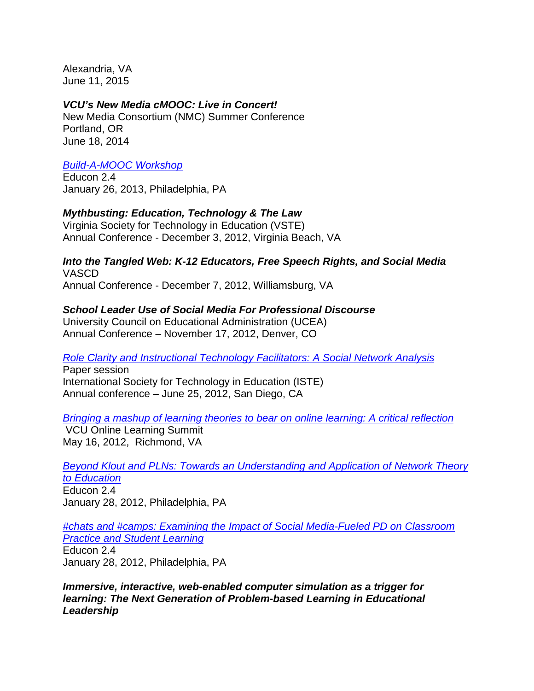Alexandria, VA June 11, 2015

#### *VCU's New Media cMOOC: Live in Concert!*

New Media Consortium (NMC) Summer Conference Portland, OR June 18, 2014

#### *[Build-A-MOOC Workshop](http://www.educonphilly.org/conversations/Build-A-MOOC_Workshop)*

Educon 2.4 January 26, 2013, Philadelphia, PA

#### *Mythbusting: Education, Technology & The Law*

Virginia Society for Technology in Education (VSTE) Annual Conference - December 3, 2012, Virginia Beach, VA

# *Into the Tangled Web: K-12 Educators, Free Speech Rights, and Social Media* VASCD

Annual Conference - December 7, 2012, Williamsburg, VA

#### *School Leader Use of Social Media For Professional Discourse*

University Council on Educational Administration (UCEA) Annual Conference – November 17, 2012, Denver, CO

*[Role Clarity and Instructional Technology Facilitators: A Social Network Analysis](http://isteconference.org/2012/program/search_results_details.php?sessionid=70222202&selection_id=73767943&rownumber=2&max=2&gopage=)*

Paper session International Society for Technology in Education (ISTE) Annual conference – June 25, 2012, San Diego, CA

#### *[Bringing a mashup of learning theories to bear on online learning: A critical reflection](http://wp.vcu.edu/online-learning-summit/test1/strand-2/paper-1/)*

VCU Online Learning Summit May 16, 2012, Richmond, VA

*[Beyond Klout and PLNs: Towards an Understanding and Application of Network Theory](http://educon24.org/conversations/Beyond_Klout_and_PLNs-Towards_an_Understanding_and_Application_of_Network_Theory_to_Education)  [to Education](http://educon24.org/conversations/Beyond_Klout_and_PLNs-Towards_an_Understanding_and_Application_of_Network_Theory_to_Education)*

Educon 2.4 January 28, 2012, Philadelphia, PA

#### *[#chats and #camps: Examining the Impact of Social Media-Fueled PD on Classroom](http://educon24.org/conversations/chats_and-camps-Examining_the_Impact_of_Social_Media-Fueled_PD_on_Classroom_Practice_and_Student_Learning)  [Practice and Student Learning](http://educon24.org/conversations/chats_and-camps-Examining_the_Impact_of_Social_Media-Fueled_PD_on_Classroom_Practice_and_Student_Learning)*

Educon 2.4 January 28, 2012, Philadelphia, PA

*Immersive, interactive, web-enabled computer simulation as a trigger for learning: The Next Generation of Problem-based Learning in Educational Leadership*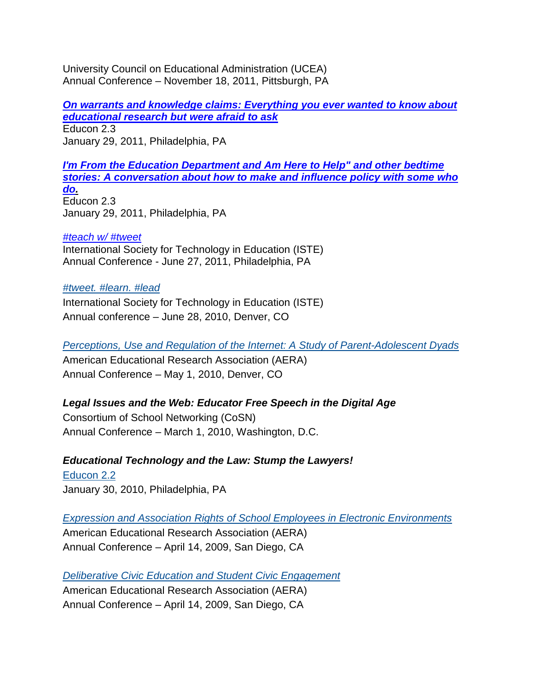University Council on Educational Administration (UCEA) Annual Conference – November 18, 2011, Pittsburgh, PA

*[On warrants and knowledge claims: Everything you ever wanted to know about](http://educon23.org/conversations/On_warrants_and_knowledge_claims-_Everything_you_ever_wanted_to_know_about_educational_research_but_was_afraid_to_ask)  [educational research but were afraid to ask](http://educon23.org/conversations/On_warrants_and_knowledge_claims-_Everything_you_ever_wanted_to_know_about_educational_research_but_was_afraid_to_ask)* Educon 2.3 January 29, 2011, Philadelphia, PA

*<i>I'm From the Education Department and Am Here to Help" and other bedtime [stories: A conversation about how to make and influence policy with some who](http://educon23.org/conversations/-Im_From_the_Education_Department_and_Am_Here_to_Help_and_other_bedtime_stories-_A_conversation_about_how_to_make_and_influence_policy_with_some_who_do-)  [do.](http://educon23.org/conversations/-Im_From_the_Education_Department_and_Am_Here_to_Help_and_other_bedtime_stories-_A_conversation_about_how_to_make_and_influence_policy_with_some_who_do-)* Educon 2.3 January 29, 2011, Philadelphia, PA

*[#teach w/ #tweet](http://www.isteconference.org/ISTE/2011/program/search_results_details.php?sessionid=60714207&selection_id=69502127&rownumber=1&max=24&gopage=)* International Society for Technology in Education (ISTE) Annual Conference - June 27, 2011, Philadelphia, PA

*[#tweet.](http://center.uoregon.edu/ISTE/2010/program/search_results_details.php?sessionid=49955820&selection_id=59052411&rownumber=1&max=1&gopage=) #learn. #lead*

International Society for Technology in Education (ISTE) Annual conference – June 28, 2010, Denver, CO

*Perceptions, Use and Regulation of the Internet: A Study of [Parent-Adolescent](http://convention2.allacademic.com/one/aera/aera10/index.php?click_key=1&cmd=Multi+Search+Search+Load+Publication&publication_id=394204&PHPSESSID=ed3a26536f3d1f6e7d8709f417c11781) Dyads*

American Educational Research Association (AERA) Annual Conference – May 1, 2010, Denver, CO

# *Legal Issues and the Web: Educator Free Speech in the Digital Age*

Consortium of School Networking (CoSN) Annual Conference – March 1, 2010, Washington, D.C.

*Educational Technology and the Law: Stump the Lawyers!* [Educon](http://educon22.wikispaces.com/) 2.2 January 30, 2010, Philadelphia, PA

*Expression and Association Rights of School Employees in Electronic [Environments](http://convention3.allacademic.com/one/aera/aera09/index.php?click_key=1&cmd=Multi+Search+Search+Load+Publication&publication_id=289864&PHPSESSID=13c77c940edcf373857d6e7f2a4738ec)* American Educational Research Association (AERA) Annual Conference – April 14, 2009, San Diego, CA

*Deliberative Civic Education and Student Civic [Engagement](http://convention3.allacademic.com/one/aera/aera09/index.php?click_key=1&cmd=Multi+Search+Search+Load+Publication&publication_id=287046&PHPSESSID=13c77c940edcf373857d6e7f2a4738ec)* American Educational Research Association (AERA) Annual Conference – April 14, 2009, San Diego, CA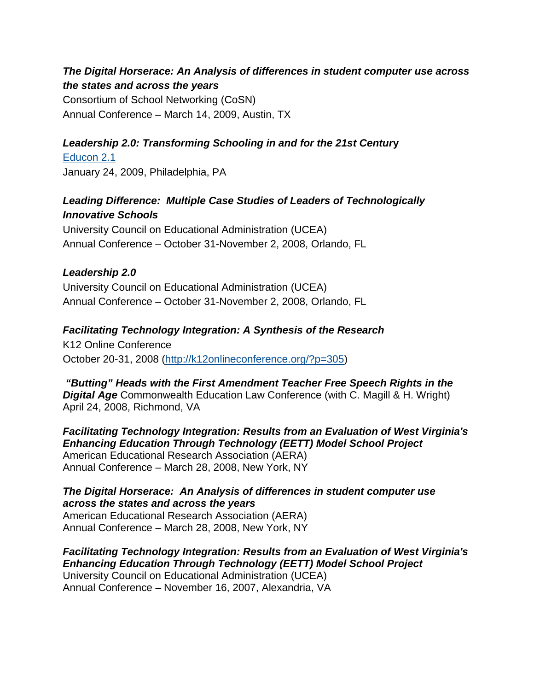# *The Digital Horserace: An Analysis of differences in student computer use across the states and across the years*

Consortium of School Networking (CoSN) Annual Conference – March 14, 2009, Austin, TX

# *Leadership 2.0: Transforming Schooling in and for the 21st Centur***y**

[Educon](http://educon21.wikispaces.com/) 2.1 January 24, 2009, Philadelphia, PA

# *Leading Difference: Multiple Case Studies of Leaders of Technologically Innovative Schools*

University Council on Educational Administration (UCEA) Annual Conference – October 31-November 2, 2008, Orlando, FL

# *Leadership 2.0*

University Council on Educational Administration (UCEA) Annual Conference – October 31-November 2, 2008, Orlando, FL

# *Facilitating Technology Integration: A Synthesis of the Research*

K12 Online Conference October 20-31, 2008 [\(http://k12onlineconference.org/?p=305\)](http://k12onlineconference.org/?p=305)

*"Butting" Heads with the First Amendment Teacher Free Speech Rights in the*  **Digital Age** Commonwealth Education Law Conference (with C. Magill & H. Wright) April 24, 2008, Richmond, VA

*Facilitating Technology Integration: Results from an Evaluation of West Virginia's Enhancing Education Through Technology (EETT) Model School Project* American Educational Research Association (AERA) Annual Conference – March 28, 2008, New York, NY

*The Digital Horserace: An Analysis of differences in student computer use across the states and across the years* American Educational Research Association (AERA) Annual Conference – March 28, 2008, New York, NY

*Facilitating Technology Integration: Results from an Evaluation of West Virginia's Enhancing Education Through Technology (EETT) Model School Project* University Council on Educational Administration (UCEA) Annual Conference – November 16, 2007, Alexandria, VA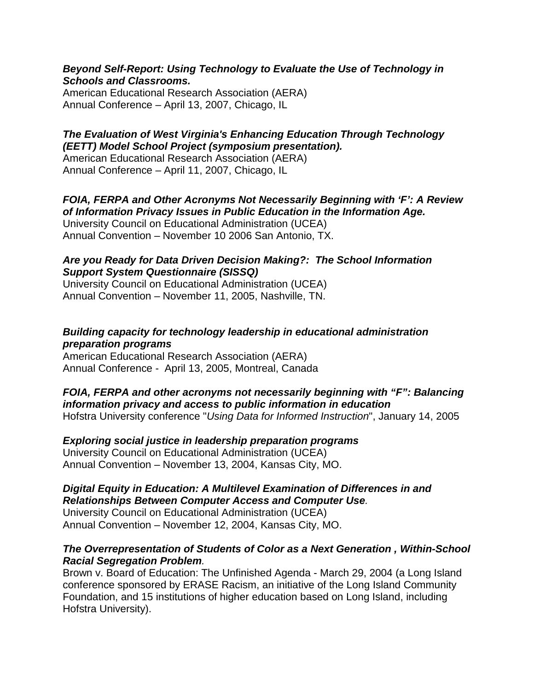#### *Beyond Self-Report: Using Technology to Evaluate the Use of Technology in Schools and Classrooms.*

American Educational Research Association (AERA) Annual Conference – April 13, 2007, Chicago, IL

### *The Evaluation of West Virginia's Enhancing Education Through Technology (EETT) Model School Project (symposium presentation).*

American Educational Research Association (AERA) Annual Conference – April 11, 2007, Chicago, IL

# *FOIA, FERPA and Other Acronyms Not Necessarily Beginning with 'F': A Review of Information Privacy Issues in Public Education in the Information Age.*

University Council on Educational Administration (UCEA) Annual Convention – November 10 2006 San Antonio, TX.

### *Are you Ready for Data Driven Decision Making?: The School Information Support System Questionnaire (SISSQ)*

University Council on Educational Administration (UCEA) Annual Convention – November 11, 2005, Nashville, TN.

### *Building capacity for technology leadership in educational administration preparation programs*

American Educational Research Association (AERA) Annual Conference - April 13, 2005, Montreal, Canada

# *FOIA, FERPA and other acronyms not necessarily beginning with "F": Balancing information privacy and access to public information in education*

Hofstra University conference "*Using Data for Informed Instruction*", January 14, 2005

*Exploring social justice in leadership preparation programs* University Council on Educational Administration (UCEA)

Annual Convention – November 13, 2004, Kansas City, MO.

#### *Digital Equity in Education: A Multilevel Examination of Differences in and Relationships Between Computer Access and Computer Use.*  University Council on Educational Administration (UCEA) Annual Convention – November 12, 2004, Kansas City, MO.

### *The Overrepresentation of Students of Color as a Next Generation , Within-School Racial Segregation Problem.*

Brown v. Board of Education: The Unfinished Agenda - March 29, 2004 (a Long Island conference sponsored by ERASE Racism, an initiative of the Long Island Community Foundation, and 15 institutions of higher education based on Long Island, including Hofstra University).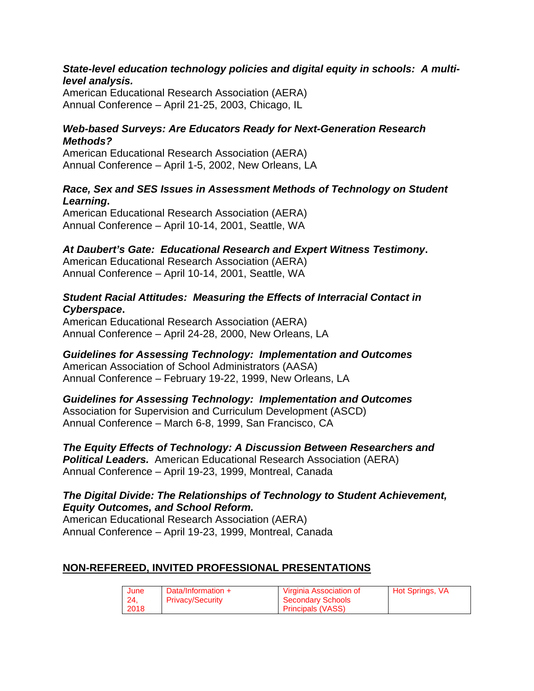#### *State-level education technology policies and digital equity in schools: A multilevel analysis.*

American Educational Research Association (AERA) Annual Conference – April 21-25, 2003, Chicago, IL

### *Web-based Surveys: Are Educators Ready for Next-Generation Research Methods?*

American Educational Research Association (AERA) Annual Conference – April 1-5, 2002, New Orleans, LA

### *Race, Sex and SES Issues in Assessment Methods of Technology on Student Learning***.**

American Educational Research Association (AERA) Annual Conference – April 10-14, 2001, Seattle, WA

# *At Daubert's Gate: Educational Research and Expert Witness Testimony***.**

American Educational Research Association (AERA) Annual Conference – April 10-14, 2001, Seattle, WA

#### *Student Racial Attitudes: Measuring the Effects of Interracial Contact in Cyberspace***.**

American Educational Research Association (AERA) Annual Conference – April 24-28, 2000, New Orleans, LA

#### *Guidelines for Assessing Technology: Implementation and Outcomes* American Association of School Administrators (AASA) Annual Conference – February 19-22, 1999, New Orleans, LA

*Guidelines for Assessing Technology: Implementation and Outcomes* Association for Supervision and Curriculum Development (ASCD) Annual Conference – March 6-8, 1999, San Francisco, CA

*The Equity Effects of Technology: A Discussion Between Researchers and*  **Political Leaders.** American Educational Research Association (AERA) Annual Conference – April 19-23, 1999, Montreal, Canada

### *The Digital Divide: The Relationships of Technology to Student Achievement, Equity Outcomes, and School Reform.*

American Educational Research Association (AERA) Annual Conference – April 19-23, 1999, Montreal, Canada

# **NON-REFEREED, INVITED PROFESSIONAL PRESENTATIONS**

| June  | Data/Information +      | Virginia Association of  | Hot Springs, VA |
|-------|-------------------------|--------------------------|-----------------|
| - 24. | <b>Privacy/Security</b> | Secondary Schools        |                 |
| 2018  |                         | <b>Principals (VASS)</b> |                 |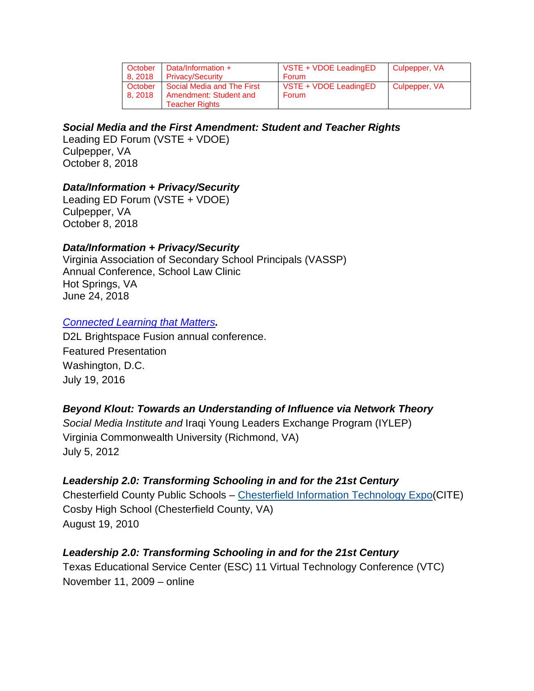| October | Data/Information +         | VSTE + VDOE LeadingED | Culpepper, VA |
|---------|----------------------------|-----------------------|---------------|
| 8.2018  | <b>Privacy/Security</b>    | Forum                 |               |
| October | Social Media and The First | VSTE + VDOE LeadingED | Culpepper, VA |
| 8.2018  | Amendment: Student and     | <b>Forum</b>          |               |
|         | <b>Teacher Rights</b>      |                       |               |

# *Social Media and the First Amendment: Student and Teacher Rights*

Leading ED Forum (VSTE + VDOE) Culpepper, VA October 8, 2018

### *Data/Information + Privacy/Security*

Leading ED Forum (VSTE + VDOE) Culpepper, VA October 8, 2018

### *Data/Information + Privacy/Security*

Virginia Association of Secondary School Principals (VASSP) Annual Conference, School Law Clinic Hot Springs, VA June 24, 2018

#### *[Connected](http://demo.desire2learncapture.com/139/Watch/3679.aspx) Learning that Matters.*

D2L Brightspace Fusion annual conference. Featured Presentation Washington, D.C. July 19, 2016

# *Beyond Klout: Towards an Understanding of Influence via Network Theory*

*Social Media Institute and* Iraqi Young Leaders Exchange Program (IYLEP) Virginia Commonwealth University (Richmond, VA) July 5, 2012

# *Leadership 2.0: Transforming Schooling in and for the 21st Century*

Chesterfield County Public Schools – [Chesterfield](http://homer.chesterfield.k12.va.us/cite/index.html) Information Technology Expo(CITE) Cosby High School (Chesterfield County, VA) August 19, 2010

# *Leadership 2.0: Transforming Schooling in and for the 21st Century*

Texas Educational Service Center (ESC) 11 Virtual Technology Conference (VTC) November 11, 2009 – online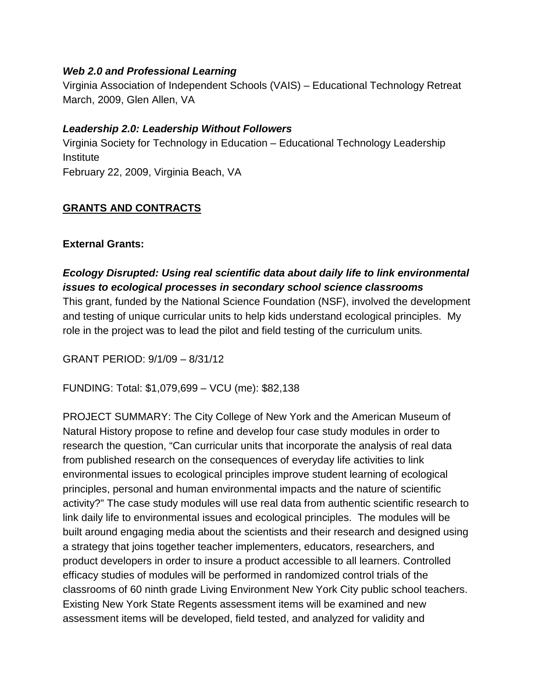### *Web 2.0 and Professional Learning*

Virginia Association of Independent Schools (VAIS) – Educational Technology Retreat March, 2009, Glen Allen, VA

### *Leadership 2.0: Leadership Without Followers*

Virginia Society for Technology in Education – Educational Technology Leadership **Institute** February 22, 2009, Virginia Beach, VA

# **GRANTS AND CONTRACTS**

### **External Grants:**

# *Ecology Disrupted: Using real scientific data about daily life to link environmental issues to ecological processes in secondary school science classrooms*

This grant, funded by the National Science Foundation (NSF), involved the development and testing of unique curricular units to help kids understand ecological principles. My role in the project was to lead the pilot and field testing of the curriculum units*.*

GRANT PERIOD: 9/1/09 – 8/31/12

FUNDING: Total: \$1,079,699 – VCU (me): \$82,138

PROJECT SUMMARY: The City College of New York and the American Museum of Natural History propose to refine and develop four case study modules in order to research the question, "Can curricular units that incorporate the analysis of real data from published research on the consequences of everyday life activities to link environmental issues to ecological principles improve student learning of ecological principles, personal and human environmental impacts and the nature of scientific activity?" The case study modules will use real data from authentic scientific research to link daily life to environmental issues and ecological principles. The modules will be built around engaging media about the scientists and their research and designed using a strategy that joins together teacher implementers, educators, researchers, and product developers in order to insure a product accessible to all learners. Controlled efficacy studies of modules will be performed in randomized control trials of the classrooms of 60 ninth grade Living Environment New York City public school teachers. Existing New York State Regents assessment items will be examined and new assessment items will be developed, field tested, and analyzed for validity and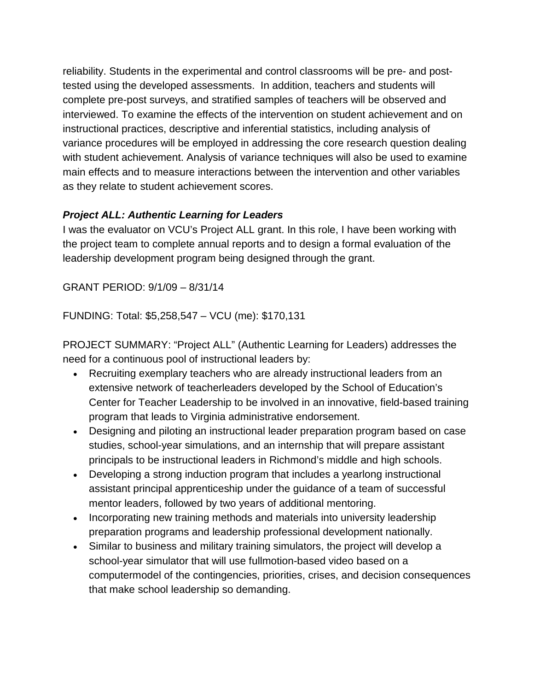reliability. Students in the experimental and control classrooms will be pre- and posttested using the developed assessments. In addition, teachers and students will complete pre-post surveys, and stratified samples of teachers will be observed and interviewed. To examine the effects of the intervention on student achievement and on instructional practices, descriptive and inferential statistics, including analysis of variance procedures will be employed in addressing the core research question dealing with student achievement. Analysis of variance techniques will also be used to examine main effects and to measure interactions between the intervention and other variables as they relate to student achievement scores.

#### *Project ALL: Authentic Learning for Leaders*

I was the evaluator on VCU's Project ALL grant. In this role, I have been working with the project team to complete annual reports and to design a formal evaluation of the leadership development program being designed through the grant.

GRANT PERIOD: 9/1/09 – 8/31/14

FUNDING: Total: \$5,258,547 – VCU (me): \$170,131

PROJECT SUMMARY: "Project ALL" (Authentic Learning for Leaders) addresses the need for a continuous pool of instructional leaders by:

- Recruiting exemplary teachers who are already instructional leaders from an extensive network of teacherleaders developed by the School of Education's Center for Teacher Leadership to be involved in an innovative, field-based training program that leads to Virginia administrative endorsement.
- Designing and piloting an instructional leader preparation program based on case studies, school-year simulations, and an internship that will prepare assistant principals to be instructional leaders in Richmond's middle and high schools.
- Developing a strong induction program that includes a yearlong instructional assistant principal apprenticeship under the guidance of a team of successful mentor leaders, followed by two years of additional mentoring.
- Incorporating new training methods and materials into university leadership preparation programs and leadership professional development nationally.
- Similar to business and military training simulators, the project will develop a school-year simulator that will use fullmotion-based video based on a computermodel of the contingencies, priorities, crises, and decision consequences that make school leadership so demanding.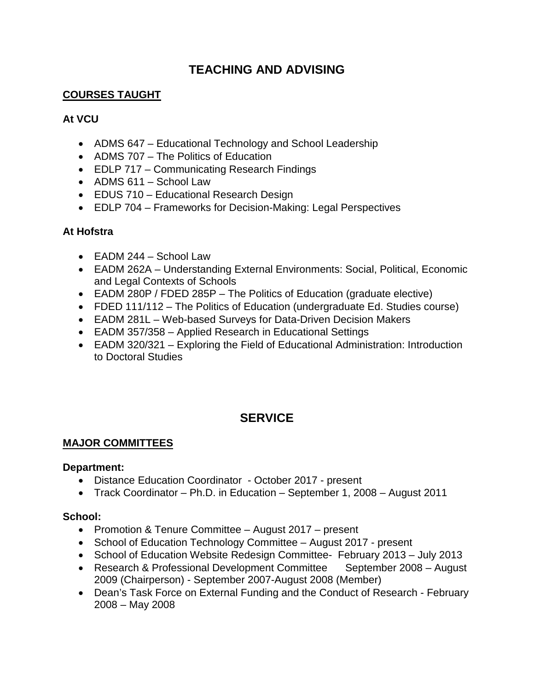# **TEACHING AND ADVISING**

# **COURSES TAUGHT**

# **At VCU**

- ADMS 647 Educational Technology and School Leadership
- ADMS 707 The Politics of Education
- EDLP 717 Communicating Research Findings
- ADMS 611 School Law
- EDUS 710 Educational Research Design
- EDLP 704 Frameworks for Decision-Making: Legal Perspectives

# **At Hofstra**

- EADM 244 School Law
- EADM 262A Understanding External Environments: Social, Political, Economic and Legal Contexts of Schools
- EADM 280P / FDED 285P The Politics of Education (graduate elective)
- FDED 111/112 The Politics of Education (undergraduate Ed. Studies course)
- EADM 281L Web-based Surveys for Data-Driven Decision Makers
- EADM 357/358 Applied Research in Educational Settings
- EADM 320/321 Exploring the Field of Educational Administration: Introduction to Doctoral Studies

# **SERVICE**

# **MAJOR COMMITTEES**

# **Department:**

- Distance Education Coordinator October 2017 present
- Track Coordinator Ph.D. in Education September 1, 2008 August 2011

# **School:**

- Promotion & Tenure Committee August 2017 present
- School of Education Technology Committee August 2017 present
- School of Education Website Redesign Committee- February 2013 July 2013
- Research & Professional Development Committee September 2008 August 2009 (Chairperson) - September 2007-August 2008 (Member)
- Dean's Task Force on External Funding and the Conduct of Research February 2008 – May 2008